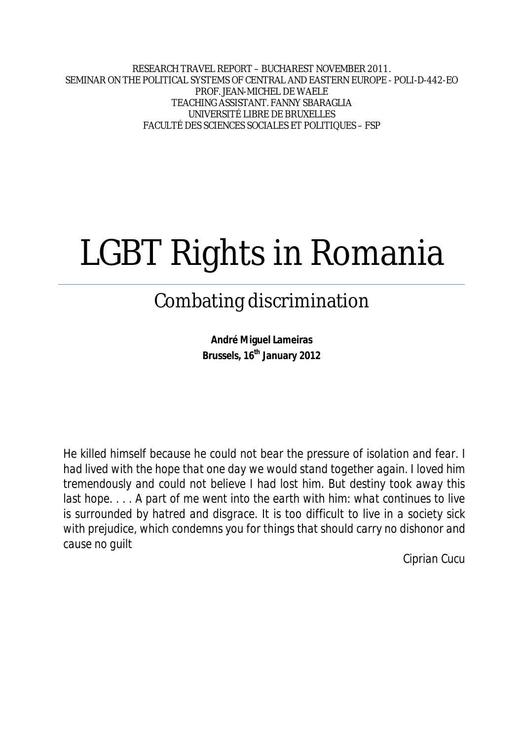RESEARCH TRAVEL REPORT – BUCHAREST NOVEMBER 2011. SEMINAR ON THE POLITICAL SYSTEMS OF CENTRAL AND EASTERN EUROPE - POLI-D-442-EO PROF. JEAN-MICHEL DE WAELE TEACHING ASSISTANT. FANNY SBARAGLIA UNIVERSITÉ LIBRE DE BRUXELLES FACULTÉ DES SCIENCES SOCIALES ET POLITIQUES – FSP

# LGBT Rights in Romania

# Combating discrimination

**André Miguel Lameiras Brussels, 16th January 2012**

*He killed himself because he could not bear the pressure of isolation and fear. I had lived with the hope that one day we would stand together again. I loved him tremendously and could not believe I had lost him. But destiny took away this last hope....* A part of me went into the earth with him: what continues to live *is surrounded by hatred and disgrace. It is too difficult to live in a society sick with prejudice, which condemns you for things that should carry no dishonor and cause no guilt*

*Ciprian Cucu*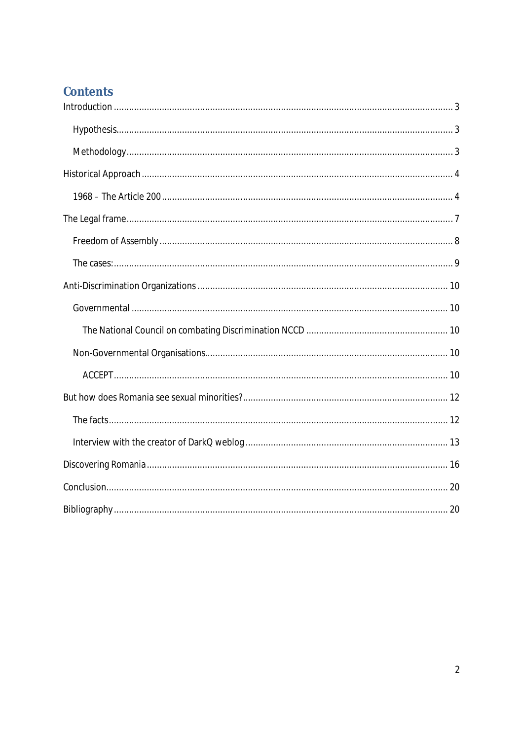# **Contents**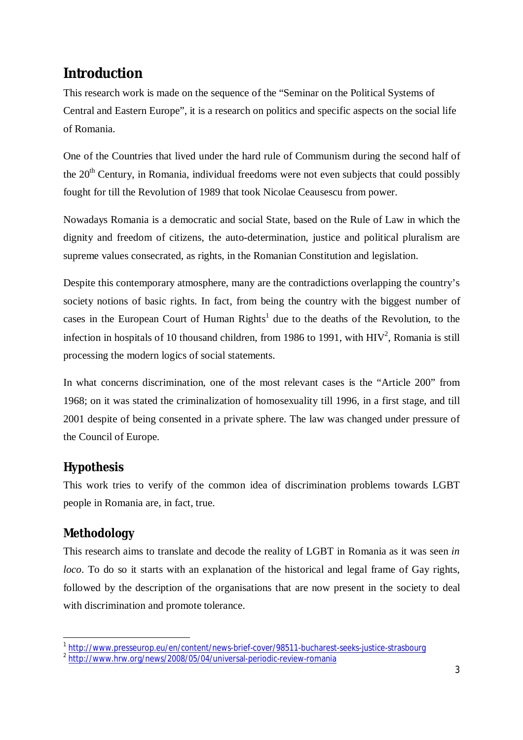# **Introduction**

This research work is made on the sequence of the "Seminar on the Political Systems of Central and Eastern Europe", it is a research on politics and specific aspects on the social life of Romania.

One of the Countries that lived under the hard rule of Communism during the second half of the  $20<sup>th</sup>$  Century, in Romania, individual freedoms were not even subjects that could possibly fought for till the Revolution of 1989 that took Nicolae Ceausescu from power.

Nowadays Romania is a democratic and social State, based on the Rule of Law in which the dignity and freedom of citizens, the auto-determination, justice and political pluralism are supreme values consecrated, as rights, in the Romanian Constitution and legislation.

Despite this contemporary atmosphere, many are the contradictions overlapping the country's society notions of basic rights. In fact, from being the country with the biggest number of cases in the European Court of Human Rights<sup>1</sup> due to the deaths of the Revolution, to the infection in hospitals of 10 thousand children, from 1986 to 1991, with  $HIV^2$ , Romania is still processing the modern logics of social statements.

In what concerns discrimination, one of the most relevant cases is the "Article 200" from 1968; on it was stated the criminalization of homosexuality till 1996, in a first stage, and till 2001 despite of being consented in a private sphere. The law was changed under pressure of the Council of Europe.

## *Hypothesis*

This work tries to verify of the common idea of discrimination problems towards LGBT people in Romania are, in fact, true.

## *Methodology*

This research aims to translate and decode the reality of LGBT in Romania as it was seen *in loco*. To do so it starts with an explanation of the historical and legal frame of Gay rights, followed by the description of the organisations that are now present in the society to deal with discrimination and promote tolerance.

 1 http://www.presseurop.eu/en/content/news-brief-cover/98511-bucharest-seeks-justice-strasbourg

<sup>&</sup>lt;sup>2</sup> http://www.hrw.org/news/2008/05/04/universal-periodic-review-romania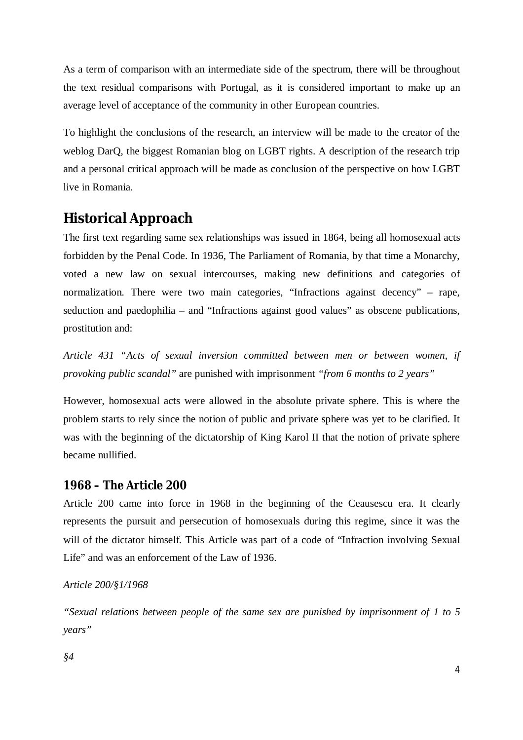As a term of comparison with an intermediate side of the spectrum, there will be throughout the text residual comparisons with Portugal, as it is considered important to make up an average level of acceptance of the community in other European countries.

To highlight the conclusions of the research, an interview will be made to the creator of the weblog DarQ, the biggest Romanian blog on LGBT rights. A description of the research trip and a personal critical approach will be made as conclusion of the perspective on how LGBT live in Romania.

## **Historical Approach**

The first text regarding same sex relationships was issued in 1864, being all homosexual acts forbidden by the Penal Code. In 1936, The Parliament of Romania, by that time a Monarchy, voted a new law on sexual intercourses, making new definitions and categories of normalization. There were two main categories, "Infractions against decency" – rape, seduction and paedophilia – and "Infractions against good values" as obscene publications, prostitution and:

*Article 431 "Acts of sexual inversion committed between men or between women, if provoking public scandal"* are punished with imprisonment *"from 6 months to 2 years"*

However, homosexual acts were allowed in the absolute private sphere. This is where the problem starts to rely since the notion of public and private sphere was yet to be clarified. It was with the beginning of the dictatorship of King Karol II that the notion of private sphere became nullified.

#### *1968 – The Article 200*

Article 200 came into force in 1968 in the beginning of the Ceausescu era. It clearly represents the pursuit and persecution of homosexuals during this regime, since it was the will of the dictator himself. This Article was part of a code of "Infraction involving Sexual Life" and was an enforcement of the Law of 1936.

#### *Article 200/§1/1968*

*"Sexual relations between people of the same sex are punished by imprisonment of 1 to 5 years"*

*§4*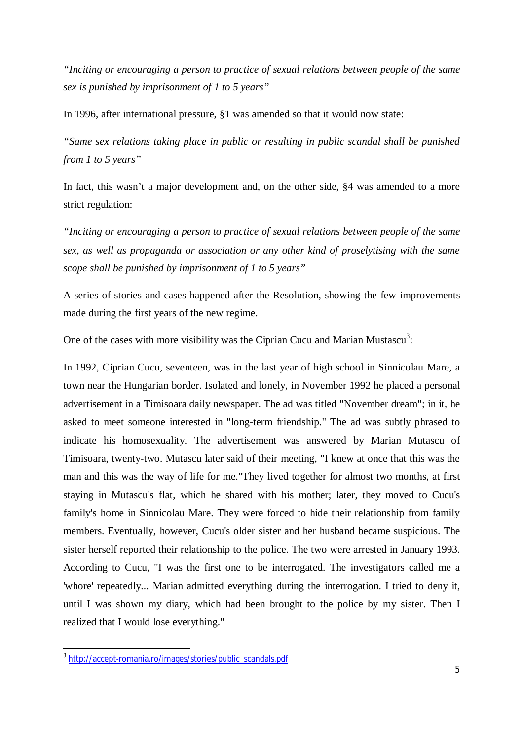*"Inciting or encouraging a person to practice of sexual relations between people of the same sex is punished by imprisonment of 1 to 5 years"* 

In 1996, after international pressure, §1 was amended so that it would now state:

*"Same sex relations taking place in public or resulting in public scandal shall be punished from 1 to 5 years"*

In fact, this wasn't a major development and, on the other side, §4 was amended to a more strict regulation:

*"Inciting or encouraging a person to practice of sexual relations between people of the same sex, as well as propaganda or association or any other kind of proselytising with the same scope shall be punished by imprisonment of 1 to 5 years"*

A series of stories and cases happened after the Resolution, showing the few improvements made during the first years of the new regime.

One of the cases with more visibility was the Ciprian Cucu and Marian Mustascu<sup>3</sup>:

In 1992, Ciprian Cucu, seventeen, was in the last year of high school in Sinnicolau Mare, a town near the Hungarian border. Isolated and lonely, in November 1992 he placed a personal advertisement in a Timisoara daily newspaper. The ad was titled "November dream"; in it, he asked to meet someone interested in "long-term friendship." The ad was subtly phrased to indicate his homosexuality. The advertisement was answered by Marian Mutascu of Timisoara, twenty-two. Mutascu later said of their meeting, "I knew at once that this was the man and this was the way of life for me."They lived together for almost two months, at first staying in Mutascu's flat, which he shared with his mother; later, they moved to Cucu's family's home in Sinnicolau Mare. They were forced to hide their relationship from family members. Eventually, however, Cucu's older sister and her husband became suspicious. The sister herself reported their relationship to the police. The two were arrested in January 1993. According to Cucu, "I was the first one to be interrogated. The investigators called me a 'whore' repeatedly... Marian admitted everything during the interrogation. I tried to deny it, until I was shown my diary, which had been brought to the police by my sister. Then I realized that I would lose everything."

 $\overline{a}$ 

<sup>&</sup>lt;sup>3</sup> http://accept-romania.ro/images/stories/public\_scandals.pdf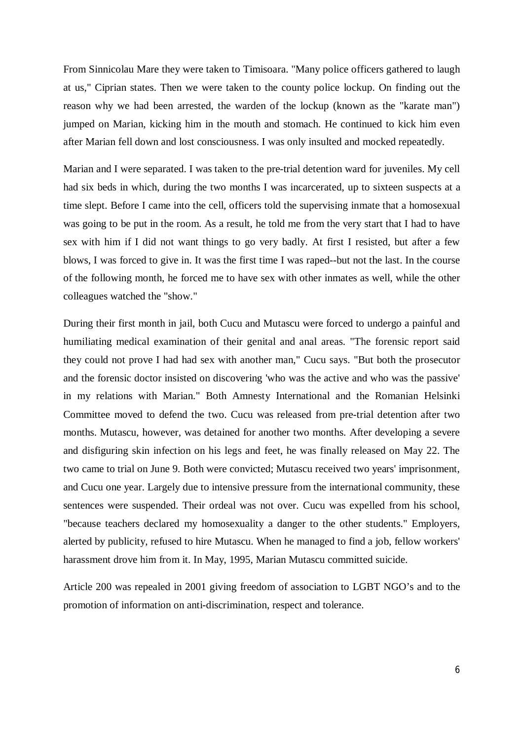From Sinnicolau Mare they were taken to Timisoara. "Many police officers gathered to laugh at us," Ciprian states. Then we were taken to the county police lockup. On finding out the reason why we had been arrested, the warden of the lockup (known as the "karate man") jumped on Marian, kicking him in the mouth and stomach. He continued to kick him even after Marian fell down and lost consciousness. I was only insulted and mocked repeatedly.

Marian and I were separated. I was taken to the pre-trial detention ward for juveniles. My cell had six beds in which, during the two months I was incarcerated, up to sixteen suspects at a time slept. Before I came into the cell, officers told the supervising inmate that a homosexual was going to be put in the room. As a result, he told me from the very start that I had to have sex with him if I did not want things to go very badly. At first I resisted, but after a few blows, I was forced to give in. It was the first time I was raped--but not the last. In the course of the following month, he forced me to have sex with other inmates as well, while the other colleagues watched the "show."

During their first month in jail, both Cucu and Mutascu were forced to undergo a painful and humiliating medical examination of their genital and anal areas. "The forensic report said they could not prove I had had sex with another man," Cucu says. "But both the prosecutor and the forensic doctor insisted on discovering 'who was the active and who was the passive' in my relations with Marian." Both Amnesty International and the Romanian Helsinki Committee moved to defend the two. Cucu was released from pre-trial detention after two months. Mutascu, however, was detained for another two months. After developing a severe and disfiguring skin infection on his legs and feet, he was finally released on May 22. The two came to trial on June 9. Both were convicted; Mutascu received two years' imprisonment, and Cucu one year. Largely due to intensive pressure from the international community, these sentences were suspended. Their ordeal was not over. Cucu was expelled from his school, "because teachers declared my homosexuality a danger to the other students." Employers, alerted by publicity, refused to hire Mutascu. When he managed to find a job, fellow workers' harassment drove him from it. In May, 1995, Marian Mutascu committed suicide.

Article 200 was repealed in 2001 giving freedom of association to LGBT NGO's and to the promotion of information on anti-discrimination, respect and tolerance.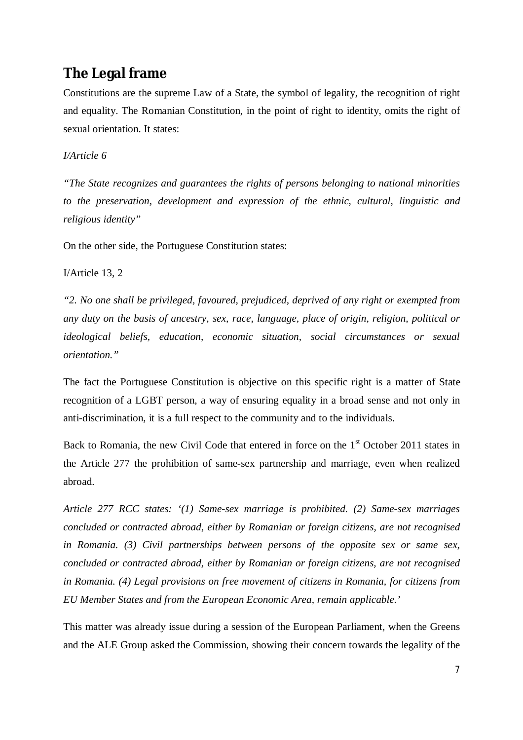## **The Legal frame**

Constitutions are the supreme Law of a State, the symbol of legality, the recognition of right and equality. The Romanian Constitution, in the point of right to identity, omits the right of sexual orientation. It states:

#### *I/Article 6*

*"The State recognizes and guarantees the rights of persons belonging to national minorities to the preservation, development and expression of the ethnic, cultural, linguistic and religious identity"*

On the other side, the Portuguese Constitution states:

I/Article 13, 2

*"2. No one shall be privileged, favoured, prejudiced, deprived of any right or exempted from any duty on the basis of ancestry, sex, race, language, place of origin, religion, political or ideological beliefs, education, economic situation, social circumstances or sexual orientation."*

The fact the Portuguese Constitution is objective on this specific right is a matter of State recognition of a LGBT person, a way of ensuring equality in a broad sense and not only in anti-discrimination, it is a full respect to the community and to the individuals.

Back to Romania, the new Civil Code that entered in force on the  $1<sup>st</sup>$  October 2011 states in the Article 277 the prohibition of same-sex partnership and marriage, even when realized abroad.

*Article 277 RCC states: '(1) Same-sex marriage is prohibited. (2) Same-sex marriages concluded or contracted abroad, either by Romanian or foreign citizens, are not recognised in Romania. (3) Civil partnerships between persons of the opposite sex or same sex, concluded or contracted abroad, either by Romanian or foreign citizens, are not recognised in Romania. (4) Legal provisions on free movement of citizens in Romania, for citizens from EU Member States and from the European Economic Area, remain applicable.'*

This matter was already issue during a session of the European Parliament, when the Greens and the ALE Group asked the Commission, showing their concern towards the legality of the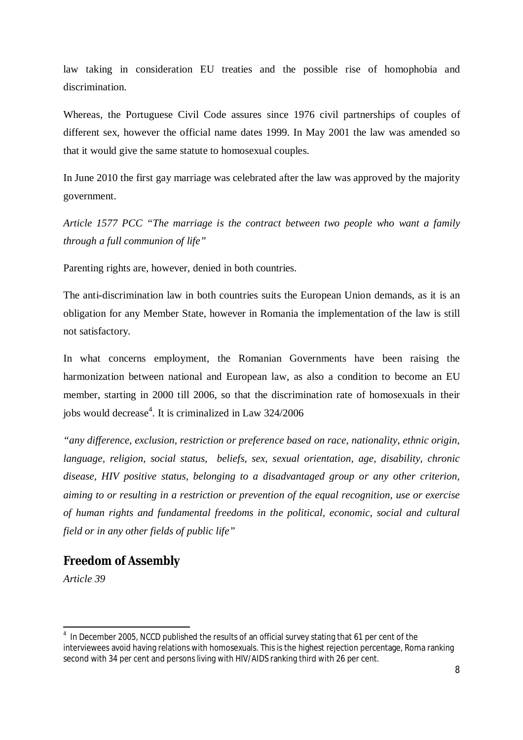law taking in consideration EU treaties and the possible rise of homophobia and discrimination.

Whereas, the Portuguese Civil Code assures since 1976 civil partnerships of couples of different sex, however the official name dates 1999. In May 2001 the law was amended so that it would give the same statute to homosexual couples.

In June 2010 the first gay marriage was celebrated after the law was approved by the majority government.

*Article 1577 PCC "The marriage is the contract between two people who want a family through a full communion of life"*

Parenting rights are, however, denied in both countries.

The anti-discrimination law in both countries suits the European Union demands, as it is an obligation for any Member State, however in Romania the implementation of the law is still not satisfactory.

In what concerns employment, the Romanian Governments have been raising the harmonization between national and European law, as also a condition to become an EU member, starting in 2000 till 2006, so that the discrimination rate of homosexuals in their jobs would decrease<sup>4</sup>. It is criminalized in Law 324/2006

*"any difference, exclusion, restriction or preference based on race, nationality, ethnic origin, language, religion, social status, beliefs, sex, sexual orientation, age, disability, chronic disease, HIV positive status, belonging to a disadvantaged group or any other criterion, aiming to or resulting in a restriction or prevention of the equal recognition, use or exercise of human rights and fundamental freedoms in the political, economic, social and cultural field or in any other fields of public life"*

#### *Freedom of Assembly*

*Article 39*

 4 In December 2005, NCCD published the results of an official survey stating that 61 per cent of the interviewees avoid having relations with homosexuals. This is the highest rejection percentage, Roma ranking second with 34 per cent and persons living with HIV/AIDS ranking third with 26 per cent.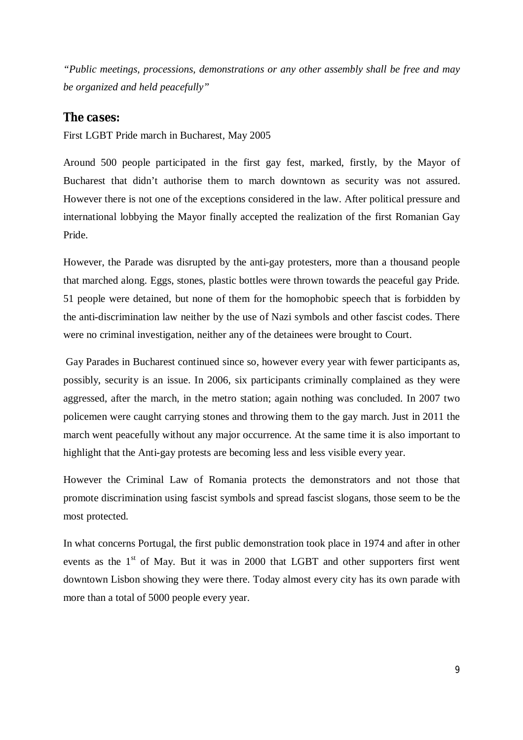*"Public meetings, processions, demonstrations or any other assembly shall be free and may be organized and held peacefully"*

#### *The cases:*

First LGBT Pride march in Bucharest, May 2005

Around 500 people participated in the first gay fest, marked, firstly, by the Mayor of Bucharest that didn't authorise them to march downtown as security was not assured. However there is not one of the exceptions considered in the law. After political pressure and international lobbying the Mayor finally accepted the realization of the first Romanian Gay Pride.

However, the Parade was disrupted by the anti-gay protesters, more than a thousand people that marched along. Eggs, stones, plastic bottles were thrown towards the peaceful gay Pride. 51 people were detained, but none of them for the homophobic speech that is forbidden by the anti-discrimination law neither by the use of Nazi symbols and other fascist codes. There were no criminal investigation, neither any of the detainees were brought to Court.

Gay Parades in Bucharest continued since so, however every year with fewer participants as, possibly, security is an issue. In 2006, six participants criminally complained as they were aggressed, after the march, in the metro station; again nothing was concluded. In 2007 two policemen were caught carrying stones and throwing them to the gay march. Just in 2011 the march went peacefully without any major occurrence. At the same time it is also important to highlight that the Anti-gay protests are becoming less and less visible every year.

However the Criminal Law of Romania protects the demonstrators and not those that promote discrimination using fascist symbols and spread fascist slogans, those seem to be the most protected.

In what concerns Portugal, the first public demonstration took place in 1974 and after in other events as the 1<sup>st</sup> of May. But it was in 2000 that LGBT and other supporters first went downtown Lisbon showing they were there. Today almost every city has its own parade with more than a total of 5000 people every year.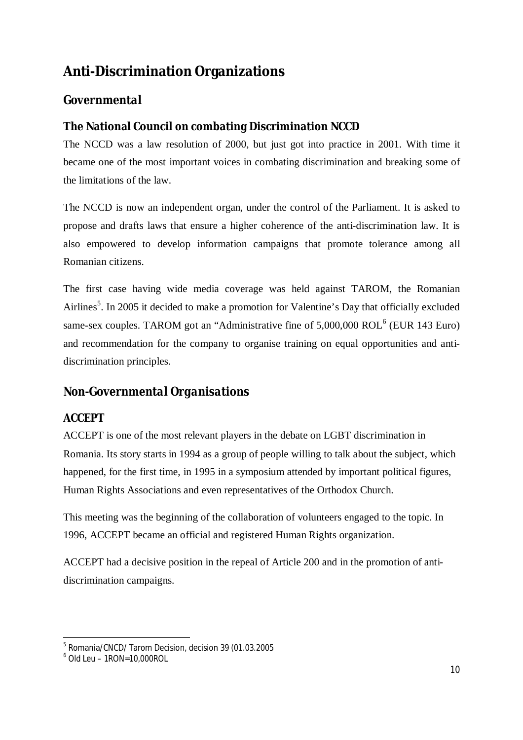# **Anti-Discrimination Organizations**

## *Governmental*

#### **The National Council on combating Discrimination NCCD**

The NCCD was a law resolution of 2000, but just got into practice in 2001. With time it became one of the most important voices in combating discrimination and breaking some of the limitations of the law.

The NCCD is now an independent organ, under the control of the Parliament. It is asked to propose and drafts laws that ensure a higher coherence of the anti-discrimination law. It is also empowered to develop information campaigns that promote tolerance among all Romanian citizens.

The first case having wide media coverage was held against TAROM, the Romanian Airlines<sup>5</sup>. In 2005 it decided to make a promotion for Valentine's Day that officially excluded same-sex couples. TAROM got an "Administrative fine of 5,000,000 ROL<sup>6</sup> (EUR 143 Euro) and recommendation for the company to organise training on equal opportunities and antidiscrimination principles.

## *Non-Governmental Organisations*

#### **ACCEPT**

ACCEPT is one of the most relevant players in the debate on LGBT discrimination in Romania. Its story starts in 1994 as a group of people willing to talk about the subject, which happened, for the first time, in 1995 in a symposium attended by important political figures, Human Rights Associations and even representatives of the Orthodox Church.

This meeting was the beginning of the collaboration of volunteers engaged to the topic. In 1996, ACCEPT became an official and registered Human Rights organization.

ACCEPT had a decisive position in the repeal of Article 200 and in the promotion of antidiscrimination campaigns.

 $\overline{\phantom{a}}$ 5 Romania/CNCD/ Tarom Decision, decision 39 (01.03.2005

<sup>6</sup> Old Leu – 1RON=10,000ROL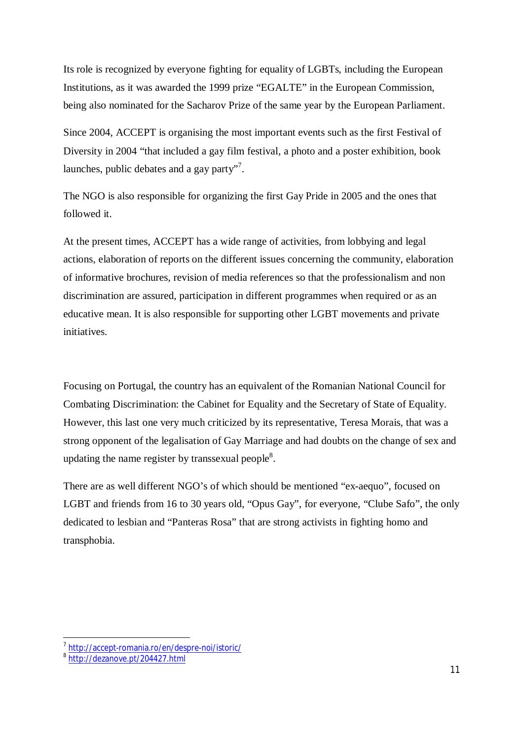Its role is recognized by everyone fighting for equality of LGBTs, including the European Institutions, as it was awarded the 1999 prize "EGALTE" in the European Commission, being also nominated for the Sacharov Prize of the same year by the European Parliament.

Since 2004, ACCEPT is organising the most important events such as the first Festival of Diversity in 2004 "that included a gay film festival, a photo and a poster exhibition, book launches, public debates and a gay party"<sup>7</sup>.

The NGO is also responsible for organizing the first Gay Pride in 2005 and the ones that followed it.

At the present times, ACCEPT has a wide range of activities, from lobbying and legal actions, elaboration of reports on the different issues concerning the community, elaboration of informative brochures, revision of media references so that the professionalism and non discrimination are assured, participation in different programmes when required or as an educative mean. It is also responsible for supporting other LGBT movements and private initiatives.

Focusing on Portugal, the country has an equivalent of the Romanian National Council for Combating Discrimination: the Cabinet for Equality and the Secretary of State of Equality. However, this last one very much criticized by its representative, Teresa Morais, that was a strong opponent of the legalisation of Gay Marriage and had doubts on the change of sex and updating the name register by transsexual people $8$ .

There are as well different NGO's of which should be mentioned "ex-aequo", focused on LGBT and friends from 16 to 30 years old, "Opus Gay", for everyone, "Clube Safo", the only dedicated to lesbian and "Panteras Rosa" that are strong activists in fighting homo and transphobia.

 $\overline{\phantom{a}}$ 

<sup>&</sup>lt;sup>7</sup>http://accept-romania.ro/en/despre-noi/istoric/

<sup>&</sup>lt;sup>8</sup> http://dezanove.pt/204427.html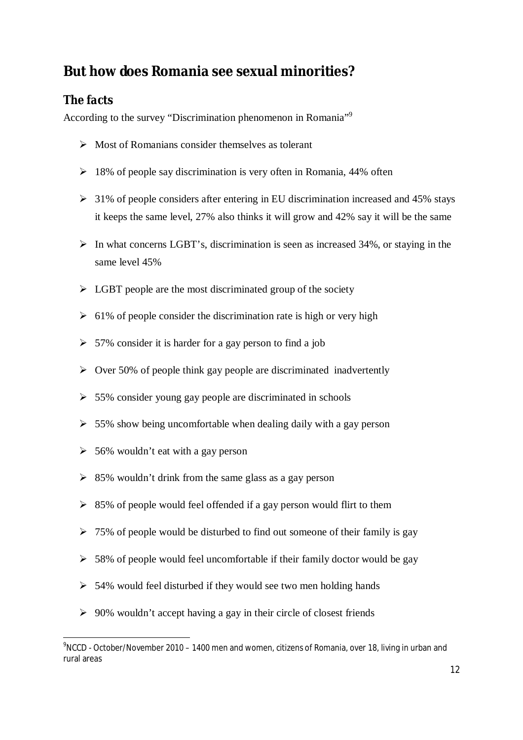# **But how does Romania see sexual minorities?**

## *The facts*

According to the survey "Discrimination phenomenon in Romania"<sup>9</sup>

- $\triangleright$  Most of Romanians consider themselves as tolerant
- $\geq 18\%$  of people say discrimination is very often in Romania, 44% often
- $\geq$  31% of people considers after entering in EU discrimination increased and 45% stays it keeps the same level, 27% also thinks it will grow and 42% say it will be the same
- $\triangleright$  In what concerns LGBT's, discrimination is seen as increased 34%, or staying in the same level 45%
- $\triangleright$  LGBT people are the most discriminated group of the society
- $\geq 61\%$  of people consider the discrimination rate is high or very high
- $> 57\%$  consider it is harder for a gay person to find a job
- $\triangleright$  Over 50% of people think gay people are discriminated inadvertently
- $\geq$  55% consider young gay people are discriminated in schools
- $>$  55% show being uncomfortable when dealing daily with a gay person
- $\geq 56\%$  wouldn't eat with a gay person
- $\geq$  85% wouldn't drink from the same glass as a gay person
- $\geq$  85% of people would feel offended if a gay person would flirt to them
- $\geq 75\%$  of people would be disturbed to find out someone of their family is gay
- $>$  58% of people would feel uncomfortable if their family doctor would be gay
- $>$  54% would feel disturbed if they would see two men holding hands
- $\geq 90\%$  wouldn't accept having a gay in their circle of closest friends

 $\overline{\phantom{a}}$  $\rm ^{9}$ NCCD - October/November 2010 – 1400 men and women, citizens of Romania, over 18, living in urban and rural areas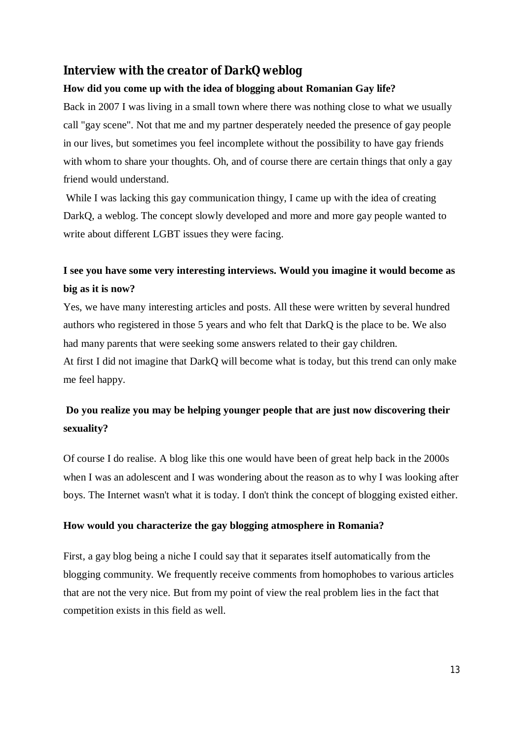#### *Interview with the creator of DarkQ weblog*

#### **How did you come up with the idea of blogging about Romanian Gay life?**

Back in 2007 I was living in a small town where there was nothing close to what we usually call "gay scene". Not that me and my partner desperately needed the presence of gay people in our lives, but sometimes you feel incomplete without the possibility to have gay friends with whom to share your thoughts. Oh, and of course there are certain things that only a gay friend would understand.

While I was lacking this gay communication thingy, I came up with the idea of creating DarkQ, a weblog. The concept slowly developed and more and more gay people wanted to write about different LGBT issues they were facing.

## **I see you have some very interesting interviews. Would you imagine it would become as big as it is now?**

Yes, we have many interesting articles and posts. All these were written by several hundred authors who registered in those 5 years and who felt that DarkQ is the place to be. We also had many parents that were seeking some answers related to their gay children.

At first I did not imagine that DarkQ will become what is today, but this trend can only make me feel happy.

## **Do you realize you may be helping younger people that are just now discovering their sexuality?**

Of course I do realise. A blog like this one would have been of great help back in the 2000s when I was an adolescent and I was wondering about the reason as to why I was looking after boys. The Internet wasn't what it is today. I don't think the concept of blogging existed either.

#### **How would you characterize the gay blogging atmosphere in Romania?**

First, a gay blog being a niche I could say that it separates itself automatically from the blogging community. We frequently receive comments from homophobes to various articles that are not the very nice. But from my point of view the real problem lies in the fact that competition exists in this field as well.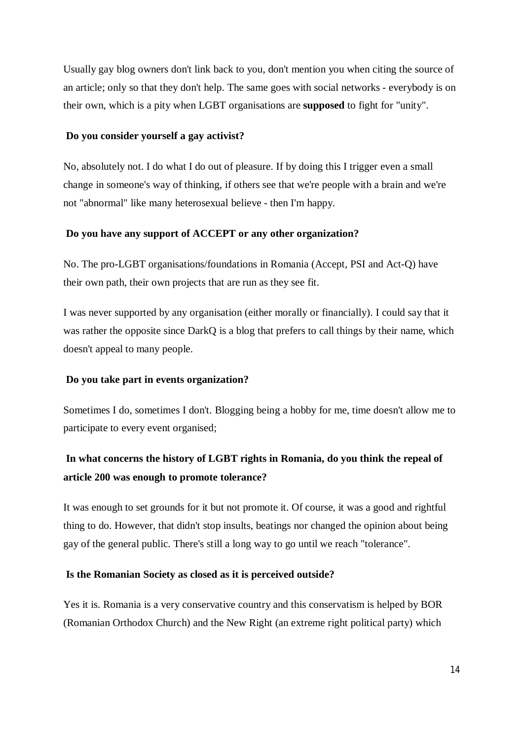Usually gay blog owners don't link back to you, don't mention you when citing the source of an article; only so that they don't help. The same goes with social networks - everybody is on their own, which is a pity when LGBT organisations are **supposed** to fight for "unity".

#### **Do you consider yourself a gay activist?**

No, absolutely not. I do what I do out of pleasure. If by doing this I trigger even a small change in someone's way of thinking, if others see that we're people with a brain and we're not "abnormal" like many heterosexual believe - then I'm happy.

#### **Do you have any support of ACCEPT or any other organization?**

No. The pro-LGBT organisations/foundations in Romania (Accept, PSI and Act-Q) have their own path, their own projects that are run as they see fit.

I was never supported by any organisation (either morally or financially). I could say that it was rather the opposite since DarkQ is a blog that prefers to call things by their name, which doesn't appeal to many people.

#### **Do you take part in events organization?**

Sometimes I do, sometimes I don't. Blogging being a hobby for me, time doesn't allow me to participate to every event organised;

## **In what concerns the history of LGBT rights in Romania, do you think the repeal of article 200 was enough to promote tolerance?**

It was enough to set grounds for it but not promote it. Of course, it was a good and rightful thing to do. However, that didn't stop insults, beatings nor changed the opinion about being gay of the general public. There's still a long way to go until we reach "tolerance".

#### **Is the Romanian Society as closed as it is perceived outside?**

Yes it is. Romania is a very conservative country and this conservatism is helped by BOR (Romanian Orthodox Church) and the New Right (an extreme right political party) which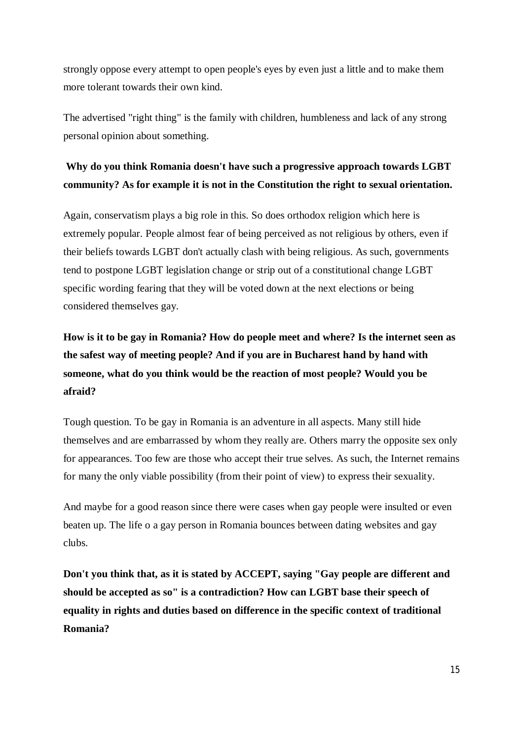strongly oppose every attempt to open people's eyes by even just a little and to make them more tolerant towards their own kind.

The advertised "right thing" is the family with children, humbleness and lack of any strong personal opinion about something.

## **Why do you think Romania doesn't have such a progressive approach towards LGBT community? As for example it is not in the Constitution the right to sexual orientation.**

Again, conservatism plays a big role in this. So does orthodox religion which here is extremely popular. People almost fear of being perceived as not religious by others, even if their beliefs towards LGBT don't actually clash with being religious. As such, governments tend to postpone LGBT legislation change or strip out of a constitutional change LGBT specific wording fearing that they will be voted down at the next elections or being considered themselves gay.

**How is it to be gay in Romania? How do people meet and where? Is the internet seen as the safest way of meeting people? And if you are in Bucharest hand by hand with someone, what do you think would be the reaction of most people? Would you be afraid?**

Tough question. To be gay in Romania is an adventure in all aspects. Many still hide themselves and are embarrassed by whom they really are. Others marry the opposite sex only for appearances. Too few are those who accept their true selves. As such, the Internet remains for many the only viable possibility (from their point of view) to express their sexuality.

And maybe for a good reason since there were cases when gay people were insulted or even beaten up. The life o a gay person in Romania bounces between dating websites and gay clubs.

**Don't you think that, as it is stated by ACCEPT, saying "Gay people are different and should be accepted as so" is a contradiction? How can LGBT base their speech of equality in rights and duties based on difference in the specific context of traditional Romania?**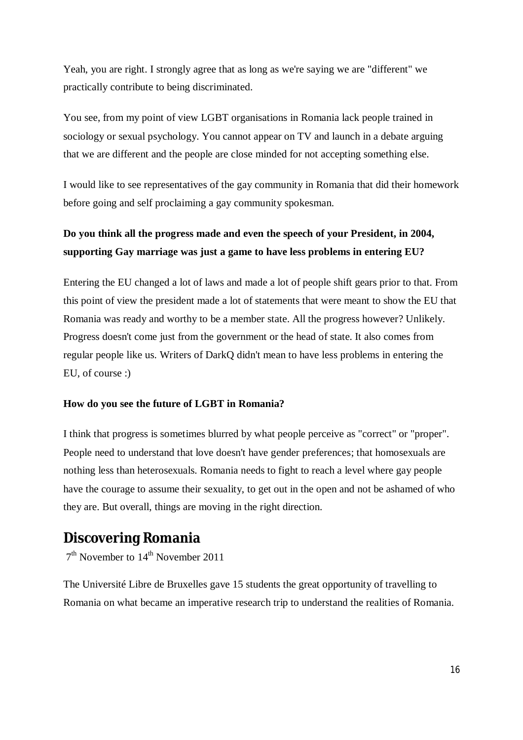Yeah, you are right. I strongly agree that as long as we're saying we are "different" we practically contribute to being discriminated.

You see, from my point of view LGBT organisations in Romania lack people trained in sociology or sexual psychology. You cannot appear on TV and launch in a debate arguing that we are different and the people are close minded for not accepting something else.

I would like to see representatives of the gay community in Romania that did their homework before going and self proclaiming a gay community spokesman.

## **Do you think all the progress made and even the speech of your President, in 2004, supporting Gay marriage was just a game to have less problems in entering EU?**

Entering the EU changed a lot of laws and made a lot of people shift gears prior to that. From this point of view the president made a lot of statements that were meant to show the EU that Romania was ready and worthy to be a member state. All the progress however? Unlikely. Progress doesn't come just from the government or the head of state. It also comes from regular people like us. Writers of DarkQ didn't mean to have less problems in entering the EU, of course :)

#### **How do you see the future of LGBT in Romania?**

I think that progress is sometimes blurred by what people perceive as "correct" or "proper". People need to understand that love doesn't have gender preferences; that homosexuals are nothing less than heterosexuals. Romania needs to fight to reach a level where gay people have the courage to assume their sexuality, to get out in the open and not be ashamed of who they are. But overall, things are moving in the right direction.

## **Discovering Romania**

 $7<sup>th</sup>$  November to  $14<sup>th</sup>$  November 2011

The Université Libre de Bruxelles gave 15 students the great opportunity of travelling to Romania on what became an imperative research trip to understand the realities of Romania.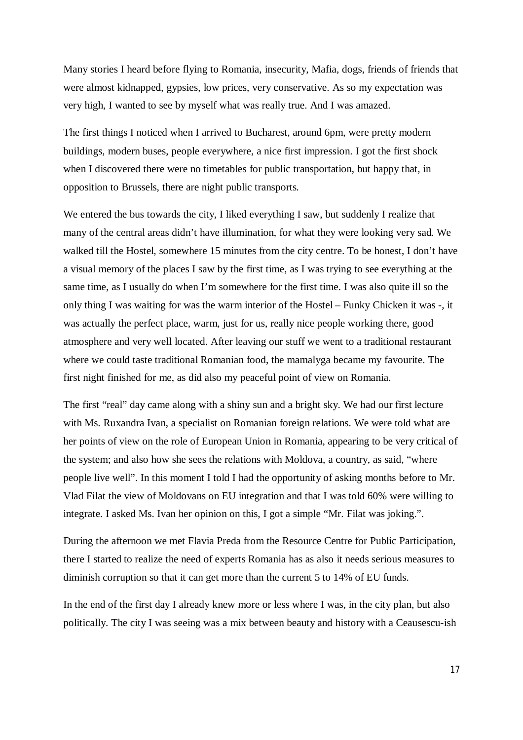Many stories I heard before flying to Romania, insecurity, Mafia, dogs, friends of friends that were almost kidnapped, gypsies, low prices, very conservative. As so my expectation was very high, I wanted to see by myself what was really true. And I was amazed.

The first things I noticed when I arrived to Bucharest, around 6pm, were pretty modern buildings, modern buses, people everywhere, a nice first impression. I got the first shock when I discovered there were no timetables for public transportation, but happy that, in opposition to Brussels, there are night public transports.

We entered the bus towards the city, I liked everything I saw, but suddenly I realize that many of the central areas didn't have illumination, for what they were looking very sad. We walked till the Hostel, somewhere 15 minutes from the city centre. To be honest, I don't have a visual memory of the places I saw by the first time, as I was trying to see everything at the same time, as I usually do when I'm somewhere for the first time. I was also quite ill so the only thing I was waiting for was the warm interior of the Hostel – Funky Chicken it was -, it was actually the perfect place, warm, just for us, really nice people working there, good atmosphere and very well located. After leaving our stuff we went to a traditional restaurant where we could taste traditional Romanian food, the mamalyga became my favourite. The first night finished for me, as did also my peaceful point of view on Romania.

The first "real" day came along with a shiny sun and a bright sky. We had our first lecture with Ms. Ruxandra Ivan, a specialist on Romanian foreign relations. We were told what are her points of view on the role of European Union in Romania, appearing to be very critical of the system; and also how she sees the relations with Moldova, a country, as said, "where people live well". In this moment I told I had the opportunity of asking months before to Mr. Vlad Filat the view of Moldovans on EU integration and that I was told 60% were willing to integrate. I asked Ms. Ivan her opinion on this, I got a simple "Mr. Filat was joking.".

During the afternoon we met Flavia Preda from the Resource Centre for Public Participation, there I started to realize the need of experts Romania has as also it needs serious measures to diminish corruption so that it can get more than the current 5 to 14% of EU funds.

In the end of the first day I already knew more or less where I was, in the city plan, but also politically. The city I was seeing was a mix between beauty and history with a Ceausescu-ish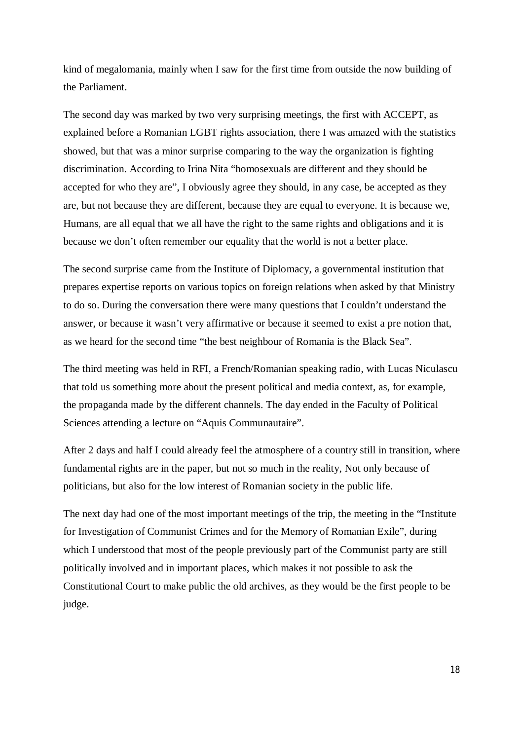kind of megalomania, mainly when I saw for the first time from outside the now building of the Parliament.

The second day was marked by two very surprising meetings, the first with ACCEPT, as explained before a Romanian LGBT rights association, there I was amazed with the statistics showed, but that was a minor surprise comparing to the way the organization is fighting discrimination. According to Irina Nita "homosexuals are different and they should be accepted for who they are", I obviously agree they should, in any case, be accepted as they are, but not because they are different, because they are equal to everyone. It is because we, Humans, are all equal that we all have the right to the same rights and obligations and it is because we don't often remember our equality that the world is not a better place.

The second surprise came from the Institute of Diplomacy, a governmental institution that prepares expertise reports on various topics on foreign relations when asked by that Ministry to do so. During the conversation there were many questions that I couldn't understand the answer, or because it wasn't very affirmative or because it seemed to exist a pre notion that, as we heard for the second time "the best neighbour of Romania is the Black Sea".

The third meeting was held in RFI, a French/Romanian speaking radio, with Lucas Niculascu that told us something more about the present political and media context, as, for example, the propaganda made by the different channels. The day ended in the Faculty of Political Sciences attending a lecture on "Aquis Communautaire".

After 2 days and half I could already feel the atmosphere of a country still in transition, where fundamental rights are in the paper, but not so much in the reality, Not only because of politicians, but also for the low interest of Romanian society in the public life.

The next day had one of the most important meetings of the trip, the meeting in the "Institute for Investigation of Communist Crimes and for the Memory of Romanian Exile", during which I understood that most of the people previously part of the Communist party are still politically involved and in important places, which makes it not possible to ask the Constitutional Court to make public the old archives, as they would be the first people to be judge.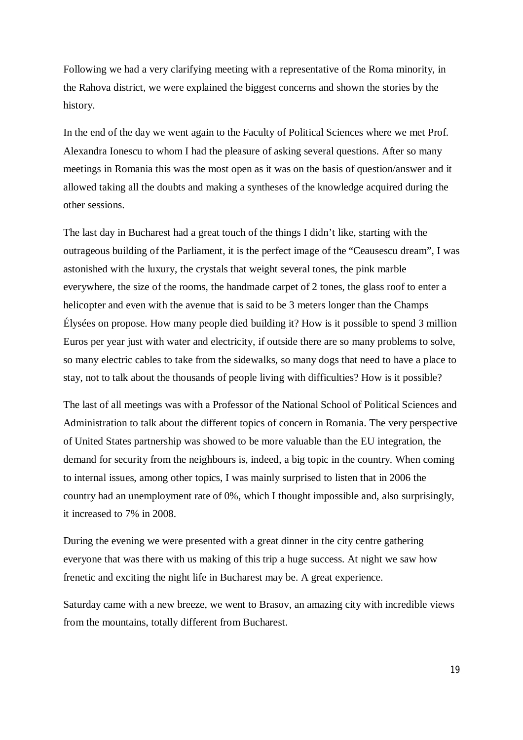Following we had a very clarifying meeting with a representative of the Roma minority, in the Rahova district, we were explained the biggest concerns and shown the stories by the history.

In the end of the day we went again to the Faculty of Political Sciences where we met Prof. Alexandra Ionescu to whom I had the pleasure of asking several questions. After so many meetings in Romania this was the most open as it was on the basis of question/answer and it allowed taking all the doubts and making a syntheses of the knowledge acquired during the other sessions.

The last day in Bucharest had a great touch of the things I didn't like, starting with the outrageous building of the Parliament, it is the perfect image of the "Ceausescu dream", I was astonished with the luxury, the crystals that weight several tones, the pink marble everywhere, the size of the rooms, the handmade carpet of 2 tones, the glass roof to enter a helicopter and even with the avenue that is said to be 3 meters longer than the Champs Élysées on propose. How many people died building it? How is it possible to spend 3 million Euros per year just with water and electricity, if outside there are so many problems to solve, so many electric cables to take from the sidewalks, so many dogs that need to have a place to stay, not to talk about the thousands of people living with difficulties? How is it possible?

The last of all meetings was with a Professor of the National School of Political Sciences and Administration to talk about the different topics of concern in Romania. The very perspective of United States partnership was showed to be more valuable than the EU integration, the demand for security from the neighbours is, indeed, a big topic in the country. When coming to internal issues, among other topics, I was mainly surprised to listen that in 2006 the country had an unemployment rate of 0%, which I thought impossible and, also surprisingly, it increased to 7% in 2008.

During the evening we were presented with a great dinner in the city centre gathering everyone that was there with us making of this trip a huge success. At night we saw how frenetic and exciting the night life in Bucharest may be. A great experience.

Saturday came with a new breeze, we went to Brasov, an amazing city with incredible views from the mountains, totally different from Bucharest.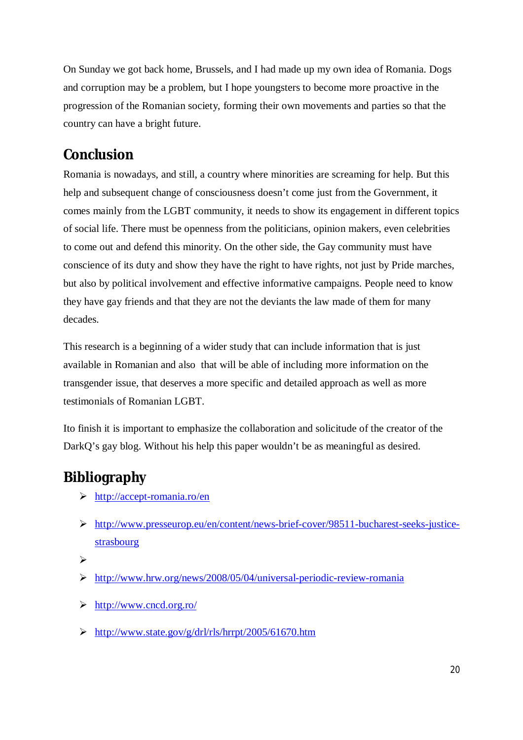On Sunday we got back home, Brussels, and I had made up my own idea of Romania. Dogs and corruption may be a problem, but I hope youngsters to become more proactive in the progression of the Romanian society, forming their own movements and parties so that the country can have a bright future.

# **Conclusion**

Romania is nowadays, and still, a country where minorities are screaming for help. But this help and subsequent change of consciousness doesn't come just from the Government, it comes mainly from the LGBT community, it needs to show its engagement in different topics of social life. There must be openness from the politicians, opinion makers, even celebrities to come out and defend this minority. On the other side, the Gay community must have conscience of its duty and show they have the right to have rights, not just by Pride marches, but also by political involvement and effective informative campaigns. People need to know they have gay friends and that they are not the deviants the law made of them for many decades.

This research is a beginning of a wider study that can include information that is just available in Romanian and also that will be able of including more information on the transgender issue, that deserves a more specific and detailed approach as well as more testimonials of Romanian LGBT.

Ito finish it is important to emphasize the collaboration and solicitude of the creator of the DarkQ's gay blog. Without his help this paper wouldn't be as meaningful as desired.

# **Bibliography**

- http://accept-romania.ro/en
- http://www.presseurop.eu/en/content/news-brief-cover/98511-bucharest-seeks-justicestrasbourg

 $\blacktriangleright$ 

- http://www.hrw.org/news/2008/05/04/universal-periodic-review-romania
- http://www.cncd.org.ro/
- http://www.state.gov/g/drl/rls/hrrpt/2005/61670.htm